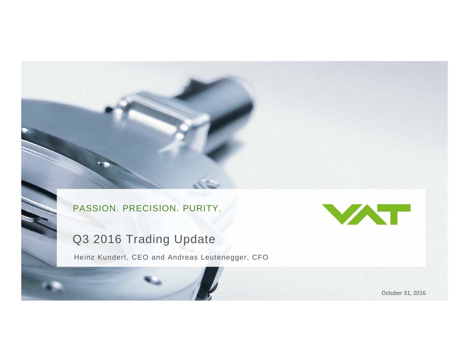Q3 2016 TRADING UPDATE

## Q3 2016 Trading Update

Heinz Kundert, CEO and Andreas Leutenegger, CFO



October 31, 2016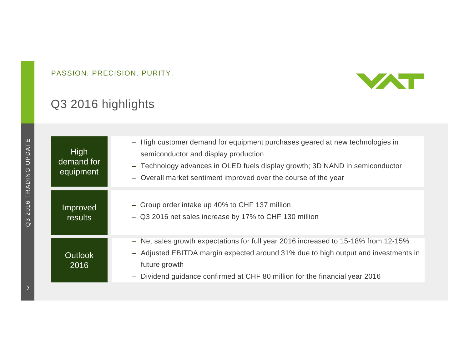

# Q3 2016 highlights

| High<br>demand for<br>equipment  | - High customer demand for equipment purchases geared at new technologies in<br>semiconductor and display production<br>- Technology advances in OLED fuels display growth; 3D NAND in semiconductor<br>- Overall market sentiment improved over the course of the year  |
|----------------------------------|--------------------------------------------------------------------------------------------------------------------------------------------------------------------------------------------------------------------------------------------------------------------------|
| Improved<br>results <sup>'</sup> | - Group order intake up 40% to CHF 137 million<br>- Q3 2016 net sales increase by 17% to CHF 130 million                                                                                                                                                                 |
| <b>Outlook</b><br>2016           | - Net sales growth expectations for full year 2016 increased to 15-18% from 12-15%<br>- Adjusted EBITDA margin expected around 31% due to high output and investments in<br>future growth<br>- Dividend guidance confirmed at CHF 80 million for the financial year 2016 |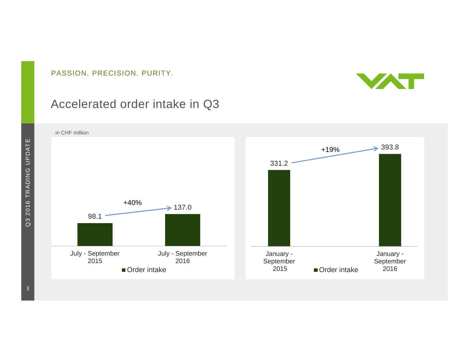

### Accelerated order intake in Q3

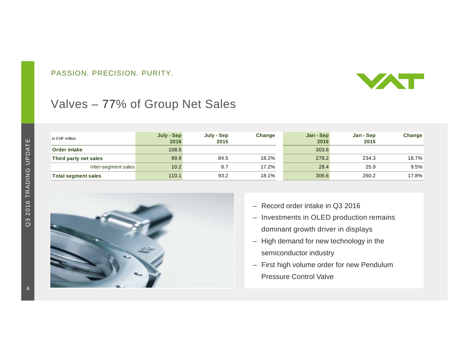

# Valves – 77% of Group Net Sales

| in CHF million             | July - Sep<br>2016 | July - Sep<br>2015 | Change | Jan - Sep<br>2016 | Jan - Sep<br>2015 | Change |
|----------------------------|--------------------|--------------------|--------|-------------------|-------------------|--------|
| <b>Order intake</b>        | 108.5              |                    |        | 303.6             |                   |        |
| Third party net sales      | 99.9               | 84.5               | 18.2%  | 278.2             | 234.3             | 18.7%  |
| Inter-segment sales        | 10.2               | 8.7                | 17.2%  | 28.4              | 25.9              | 9.5%   |
| <b>Total segment sales</b> | 110.1              | 93.2               | 18.1%  | 306.6             | 260.2             | 17.8%  |



- Record order intake in Q3 2016
- Investments in OLED production remains dominant growth driver in displays
- High demand for new technology in the semiconductor industry
- First high volume order for new Pendulum Pressure Control Valve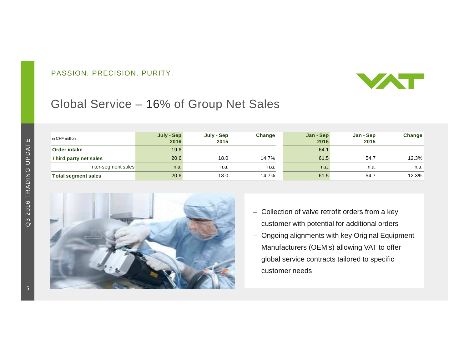

# Global Service – 16% of Group Net Sales

| in CHF million             | July - Sep<br>2016 | July - Sep<br>2015 | Change | Jan - Sep<br>2016 | Jan - Sep<br>2015 | Change |
|----------------------------|--------------------|--------------------|--------|-------------------|-------------------|--------|
| Order intake               | 19.6               |                    |        | 64.1              |                   |        |
| Third party net sales      | 20.6               | 18.0               | 14.7%  | 61.5              | 54.7              | 12.3%  |
| Inter-segment sales        | n.a.               | n.a.               | n.a.   | n.a.              | n.a.              | n.a.   |
| <b>Total segment sales</b> | 20.6               | 18.0               | 14.7%  | 61.5              | 54.7              | 12.3%  |



- Collection of valve retrofit orders from a key customer with potential for additional orders
- Ongoing alignments with key Original Equipment Manufacturers (OEM's) allowing VAT to offer global service contracts tailored to specific customer needs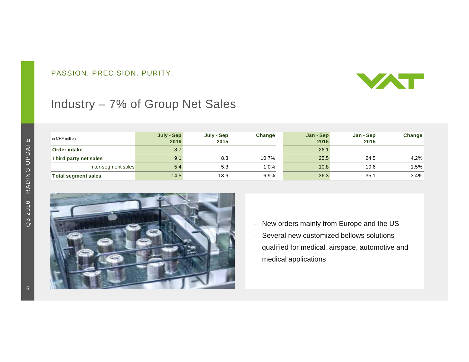

### Industry – 7% of Group Net Sales

| in CHF million             | July - Sep<br>2016 | July - Sep<br>2015 | Change | Jan - Sep<br>2016 | Jan - Sep<br>2015 | Change |
|----------------------------|--------------------|--------------------|--------|-------------------|-------------------|--------|
| <b>Order intake</b>        | 8.7                |                    |        | 26.1              |                   |        |
| Third party net sales      | 9.1                | 8.3                | 10.7%  | 25.5              | 24.5              | 4.2%   |
| Inter-segment sales        | 5.4                | 5.3                | .0%    | 10.8              | 10.6              | 1.5%   |
| <b>Total segment sales</b> | 14.5               | 13.6               | 6.9%   | 36.3              | 35.1              | 3.4%   |



- New orders mainly from Europe and the US
- Several new customized bellows solutions qualified for medical, airspace, automotive and medical applications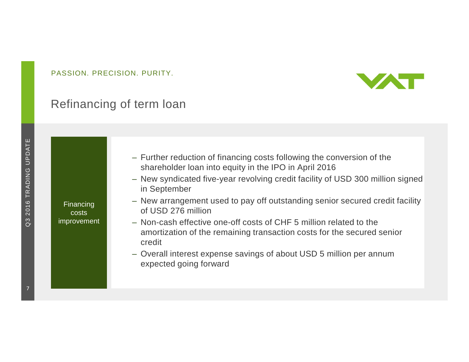

### Refinancing of term loan

Q3 2016 TRADING UPDATE Q3 2016 TRADING UPDATE

Financing costs improvement

shareholder loan into equity in the IPO in April 2016– New syndicated five-year revolving credit facility of USD 300 million signed

– Further reduction of financing costs following the conversion of the

- in September
- New arrangement used to pay off outstanding senior secured credit facility of USD 276 million
- Non-cash effective one-off costs of CHF 5 million related to the amortization of the remaining transaction costs for the secured senior credit
- Overall interest expense savings of about USD 5 million per annum expected going forward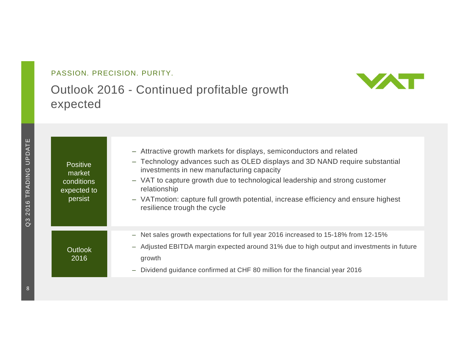## Outlook 2016 - Continued profitable growth expected



| <b>Positive</b><br>market<br>conditions<br>expected to<br>persist | - Attractive growth markets for displays, semiconductors and related<br>- Technology advances such as OLED displays and 3D NAND require substantial<br>investments in new manufacturing capacity<br>- VAT to capture growth due to technological leadership and strong customer<br>relationship<br>- VATmotion: capture full growth potential, increase efficiency and ensure highest<br>resilience trough the cycle |
|-------------------------------------------------------------------|----------------------------------------------------------------------------------------------------------------------------------------------------------------------------------------------------------------------------------------------------------------------------------------------------------------------------------------------------------------------------------------------------------------------|
| <b>Outlook</b><br>2016                                            | Net sales growth expectations for full year 2016 increased to 15-18% from 12-15%<br>$-$<br>- Adjusted EBITDA margin expected around 31% due to high output and investments in future<br>growth<br>Dividend guidance confirmed at CHF 80 million for the financial year 2016<br>—                                                                                                                                     |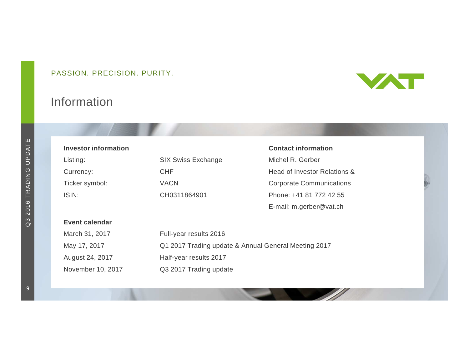## Information



| Investor information |                                                      | <b>Contact information</b>      |  |  |
|----------------------|------------------------------------------------------|---------------------------------|--|--|
| Listing:             | <b>SIX Swiss Exchange</b>                            | Michel R. Gerber                |  |  |
| Currency:            | <b>CHF</b>                                           | Head of Investor Relations &    |  |  |
| Ticker symbol:       | <b>VACN</b>                                          | <b>Corporate Communications</b> |  |  |
| ISIN:                | CH0311864901                                         | Phone: +41 81 772 42 55         |  |  |
|                      |                                                      | E-mail: m.gerber@vat.ch         |  |  |
| Event calendar       |                                                      |                                 |  |  |
| March 31, 2017       | Full-year results 2016                               |                                 |  |  |
| May 17, 2017         | Q1 2017 Trading update & Annual General Meeting 2017 |                                 |  |  |
| August 24, 2017      | Half-year results 2017                               |                                 |  |  |
| November 10, 2017    | Q3 2017 Trading update                               |                                 |  |  |